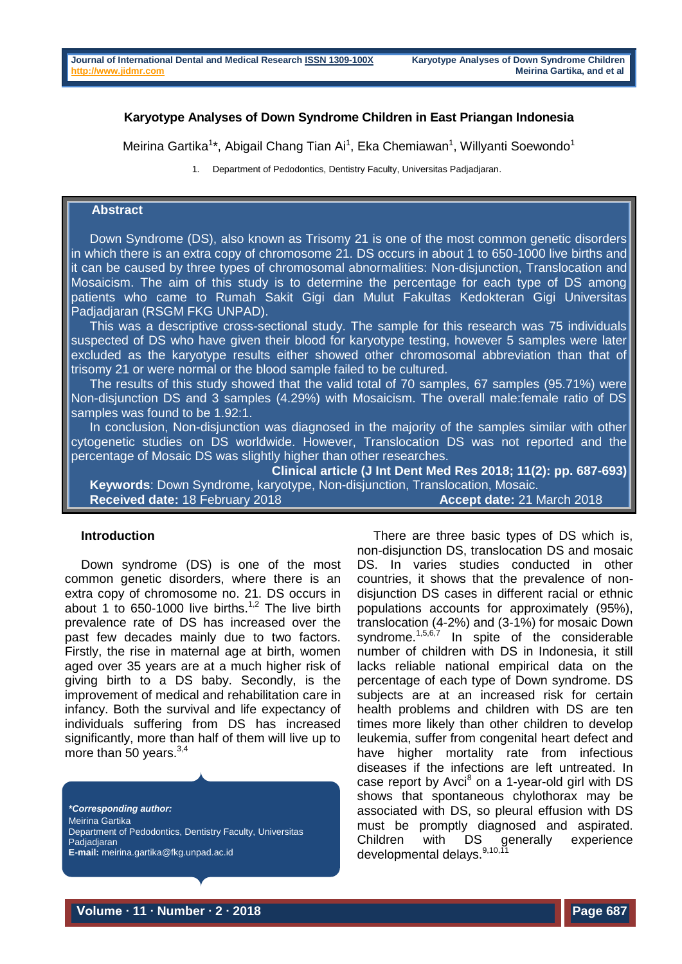### **Karyotype Analyses of Down Syndrome Children in East Priangan Indonesia**

Meirina Gartika<sup>1\*</sup>, Abigail Chang Tian Ai<sup>1</sup>, Eka Chemiawan<sup>1</sup>, Willyanti Soewondo<sup>1</sup>

1. Department of Pedodontics, Dentistry Faculty, Universitas Padjadjaran.

# **Abstract**

Down Syndrome (DS), also known as Trisomy 21 is one of the most common genetic disorders in which there is an extra copy of chromosome 21. DS occurs in about 1 to 650-1000 live births and it can be caused by three types of chromosomal abnormalities: Non-disjunction, Translocation and Mosaicism. The aim of this study is to determine the percentage for each type of DS among patients who came to Rumah Sakit Gigi dan Mulut Fakultas Kedokteran Gigi Universitas Padjadjaran (RSGM FKG UNPAD).

This was a descriptive cross-sectional study. The sample for this research was 75 individuals suspected of DS who have given their blood for karyotype testing, however 5 samples were later excluded as the karyotype results either showed other chromosomal abbreviation than that of trisomy 21 or were normal or the blood sample failed to be cultured.

The results of this study showed that the valid total of 70 samples, 67 samples (95.71%) were Non-disjunction DS and 3 samples (4.29%) with Mosaicism. The overall male:female ratio of DS samples was found to be 1.92:1.

In conclusion, Non-disjunction was diagnosed in the majority of the samples similar with other cytogenetic studies on DS worldwide. However, Translocation DS was not reported and the percentage of Mosaic DS was slightly higher than other researches.

**Clinical article (J Int Dent Med Res 2018; 11(2): pp. 687-693) Keywords**: Down Syndrome, karyotype, Non-disjunction, Translocation, Mosaic. **Received date:** 18 February 2018 **Accept date:** 21 March 2018

#### **Introduction**

Down syndrome (DS) is one of the most common genetic disorders, where there is an extra copy of chromosome no. 21. DS occurs in about 1 to 650-1000 live births.<sup>1,2</sup> The live birth prevalence rate of DS has increased over the past few decades mainly due to two factors. Firstly, the rise in maternal age at birth, women aged over 35 years are at a much higher risk of giving birth to a DS baby. Secondly, is the improvement of medical and rehabilitation care in infancy. Both the survival and life expectancy of individuals suffering from DS has increased significantly, more than half of them will live up to more than 50 years. $3,4$ 

*\*Corresponding author:* Meirina Gartika Department of Pedodontics, Dentistry Faculty, Universitas **Padiadiaran E-mail:** [meirina.gartika@fkg.unpad.ac.id](mailto:meirina.gartika@fkg.unpad.ac.id)

There are three basic types of DS which is, non-disjunction DS, translocation DS and mosaic DS. In varies studies conducted in other countries, it shows that the prevalence of nondisjunction DS cases in different racial or ethnic populations accounts for approximately (95%), translocation (4-2%) and (3-1%) for mosaic Down svndrome.<sup>1,5,6,7</sup> In spite of the considerable number of children with DS in Indonesia, it still lacks reliable national empirical data on the percentage of each type of Down syndrome. DS subjects are at an increased risk for certain health problems and children with DS are ten times more likely than other children to develop leukemia, suffer from congenital heart defect and have higher mortality rate from infectious diseases if the infections are left untreated. In case report by Avci $^8$  on a 1-year-old girl with DS shows that spontaneous chylothorax may be associated with DS, so pleural effusion with DS must be promptly diagnosed and aspirated. Children with DS generally experience developmental delays.<sup>9,10,11</sup>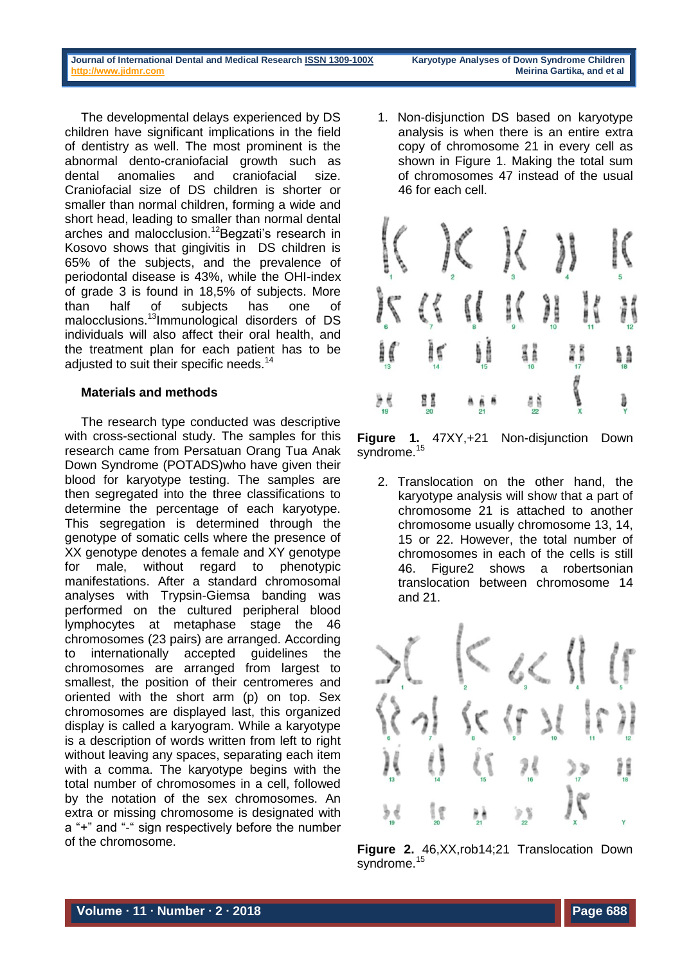The developmental delays experienced by DS children have significant implications in the field of dentistry as well. The most prominent is the abnormal dento-craniofacial growth such as dental anomalies and craniofacial size. Craniofacial size of DS children is shorter or smaller than normal children, forming a wide and short head, leading to smaller than normal dental arches and malocclusion.<sup>12</sup>Begzati's research in Kosovo shows that gingivitis in DS children is 65% of the subjects, and the prevalence of periodontal disease is 43%, while the OHI-index of grade 3 is found in 18,5% of subjects. More than half of subjects has one of malocclusions.<sup>13</sup>Immunological disorders of DS individuals will also affect their oral health, and the treatment plan for each patient has to be adjusted to suit their specific needs.<sup>14</sup>

### **Materials and methods**

The research type conducted was descriptive with cross-sectional study. The samples for this research came from Persatuan Orang Tua Anak Down Syndrome (POTADS)who have given their blood for karyotype testing. The samples are then segregated into the three classifications to determine the percentage of each karyotype. This segregation is determined through the genotype of somatic cells where the presence of XX genotype denotes a female and XY genotype for male, without regard to phenotypic manifestations. After a standard chromosomal analyses with Trypsin-Giemsa banding was performed on the cultured peripheral blood lymphocytes at metaphase stage the 46 chromosomes (23 pairs) are arranged. According to internationally accepted guidelines the chromosomes are arranged from largest to smallest, the position of their centromeres and oriented with the short arm (p) on top. Sex chromosomes are displayed last, this organized display is called a karyogram. While a karyotype is a description of words written from left to right without leaving any spaces, separating each item with a comma. The karyotype begins with the total number of chromosomes in a cell, followed by the notation of the sex chromosomes. An extra or missing chromosome is designated with a "+" and "-" sign respectively before the number of the chromosome.

1. Non-disjunction DS based on karyotype analysis is when there is an entire extra copy of chromosome 21 in every cell as shown in Figure 1. Making the total sum of chromosomes 47 instead of the usual 46 for each cell.



**Figure 1.** 47XY,+21 Non-disjunction Down syndrome.<sup>15</sup>

2. Translocation on the other hand, the karyotype analysis will show that a part of chromosome 21 is attached to another chromosome usually chromosome 13, 14, 15 or 22. However, the total number of chromosomes in each of the cells is still 46. Figure2 shows a robertsonian translocation between chromosome 14 and 21.



**Figure 2.** 46,XX,rob14;21 Translocation Down syndrome.<sup>15</sup>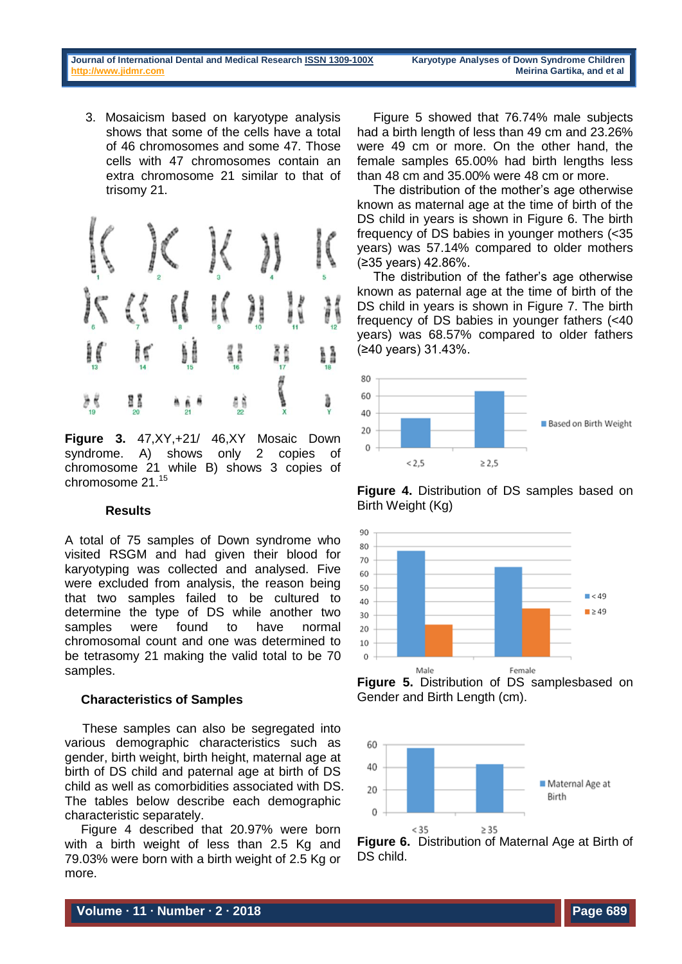3. Mosaicism based on karyotype analysis shows that some of the cells have a total of 46 chromosomes and some 47. Those cells with 47 chromosomes contain an extra chromosome 21 similar to that of trisomy 21.



**Figure 3.** 47,XY,+21/ 46,XY Mosaic Down syndrome. A) shows only 2 copies of chromosome 21 while B) shows 3 copies of chromosome 21.<sup>15</sup>

### **Results**

A total of 75 samples of Down syndrome who visited RSGM and had given their blood for karyotyping was collected and analysed. Five were excluded from analysis, the reason being that two samples failed to be cultured to determine the type of DS while another two samples were found to have normal chromosomal count and one was determined to be tetrasomy 21 making the valid total to be 70 samples.

### **Characteristics of Samples**

 These samples can also be segregated into various demographic characteristics such as gender, birth weight, birth height, maternal age at birth of DS child and paternal age at birth of DS child as well as comorbidities associated with DS. The tables below describe each demographic characteristic separately.

Figure 4 described that 20.97% were born with a birth weight of less than 2.5 Kg and 79.03% were born with a birth weight of 2.5 Kg or more.

Figure 5 showed that 76.74% male subjects had a birth length of less than 49 cm and 23.26% were 49 cm or more. On the other hand, the female samples 65.00% had birth lengths less than 48 cm and 35.00% were 48 cm or more.

The distribution of the mother's age otherwise known as maternal age at the time of birth of the DS child in years is shown in Figure 6. The birth frequency of DS babies in younger mothers (<35 years) was 57.14% compared to older mothers (≥35 years) 42.86%.

The distribution of the father's age otherwise known as paternal age at the time of birth of the DS child in years is shown in Figure 7. The birth frequency of DS babies in younger fathers (<40 years) was 68.57% compared to older fathers (≥40 years) 31.43%.











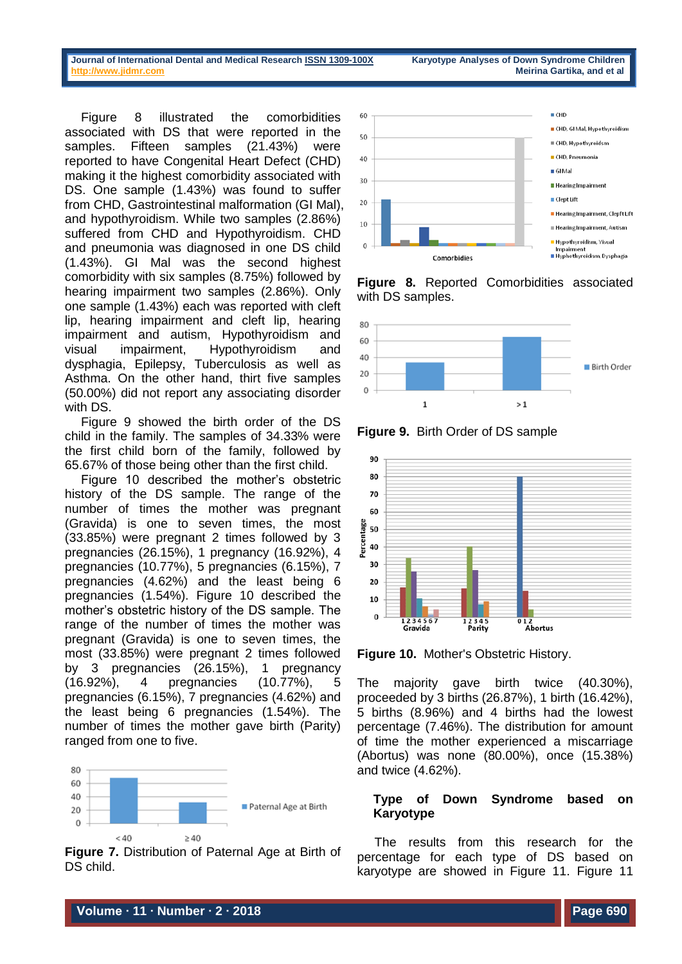Figure 8 illustrated the comorbidities associated with DS that were reported in the samples. Fifteen samples (21.43%) were reported to have Congenital Heart Defect (CHD) making it the highest comorbidity associated with DS. One sample (1.43%) was found to suffer from CHD, Gastrointestinal malformation (GI Mal), and hypothyroidism. While two samples (2.86%) suffered from CHD and Hypothyroidism. CHD and pneumonia was diagnosed in one DS child (1.43%). GI Mal was the second highest comorbidity with six samples (8.75%) followed by hearing impairment two samples (2.86%). Only one sample (1.43%) each was reported with cleft lip, hearing impairment and cleft lip, hearing impairment and autism, Hypothyroidism and visual impairment, Hypothyroidism and dysphagia, Epilepsy, Tuberculosis as well as Asthma. On the other hand, thirt five samples (50.00%) did not report any associating disorder with DS.

Figure 9 showed the birth order of the DS child in the family. The samples of 34.33% were the first child born of the family, followed by 65.67% of those being other than the first child.

Figure 10 described the mother's obstetric history of the DS sample. The range of the number of times the mother was pregnant (Gravida) is one to seven times, the most (33.85%) were pregnant 2 times followed by 3 pregnancies (26.15%), 1 pregnancy (16.92%), 4 pregnancies (10.77%), 5 pregnancies (6.15%), 7 pregnancies (4.62%) and the least being 6 pregnancies (1.54%). Figure 10 described the mother's obstetric history of the DS sample. The range of the number of times the mother was pregnant (Gravida) is one to seven times, the most (33.85%) were pregnant 2 times followed by 3 pregnancies (26.15%), 1 pregnancy (16.92%), 4 pregnancies (10.77%), 5 pregnancies (6.15%), 7 pregnancies (4.62%) and the least being 6 pregnancies (1.54%). The number of times the mother gave birth (Parity) ranged from one to five.



**Figure 7.** Distribution of Paternal Age at Birth of DS child.



**Figure 8.** Reported Comorbidities associated with DS samples.



**Figure 9.** Birth Order of DS sample



**Figure 10.** Mother's Obstetric History.

The majority gave birth twice (40.30%), proceeded by 3 births (26.87%), 1 birth (16.42%), 5 births (8.96%) and 4 births had the lowest percentage (7.46%). The distribution for amount of time the mother experienced a miscarriage (Abortus) was none (80.00%), once (15.38%) and twice (4.62%).

# **Type of Down Syndrome based on Karyotype**

 The results from this research for the percentage for each type of DS based on karyotype are showed in Figure 11. Figure 11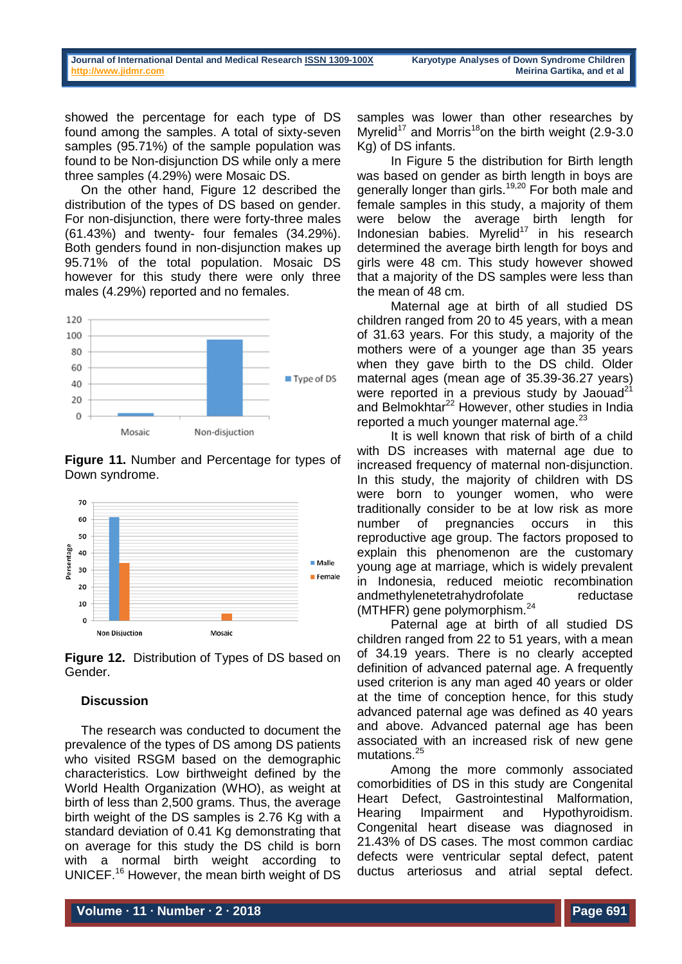showed the percentage for each type of DS found among the samples. A total of sixty-seven samples (95.71%) of the sample population was found to be Non-disjunction DS while only a mere three samples (4.29%) were Mosaic DS.

On the other hand, Figure 12 described the distribution of the types of DS based on gender. For non-disjunction, there were forty-three males (61.43%) and twenty- four females (34.29%). Both genders found in non-disjunction makes up 95.71% of the total population. Mosaic DS however for this study there were only three males (4.29%) reported and no females.



**Figure 11.** Number and Percentage for types of Down syndrome.



**Figure 12.** Distribution of Types of DS based on Gender.

### **Discussion**

The research was conducted to document the prevalence of the types of DS among DS patients who visited RSGM based on the demographic characteristics. Low birthweight defined by the World Health Organization (WHO), as weight at birth of less than 2,500 grams. Thus, the average birth weight of the DS samples is 2.76 Kg with a standard deviation of 0.41 Kg demonstrating that on average for this study the DS child is born with a normal birth weight according to UNICEF.<sup>16</sup> However, the mean birth weight of DS

samples was lower than other researches by Myrelid<sup>17</sup> and Morris<sup>18</sup>on the birth weight (2.9-3.0) Kg) of DS infants.

 In Figure 5 the distribution for Birth length was based on gender as birth length in boys are generally longer than girls.<sup>19,20</sup> For both male and female samples in this study, a majority of them were below the average birth length for Indonesian babies. Myrelid<sup>17</sup> in his research determined the average birth length for boys and girls were 48 cm. This study however showed that a majority of the DS samples were less than the mean of 48 cm.

 Maternal age at birth of all studied DS children ranged from 20 to 45 years, with a mean of 31.63 years. For this study, a majority of the mothers were of a younger age than 35 years when they gave birth to the DS child. Older maternal ages (mean age of 35.39-36.27 years) were reported in a previous study by Jaouad<sup>21</sup> and Belmokhtar<sup>22</sup> However, other studies in India reported a much younger maternal age. $^{23}$ 

 It is well known that risk of birth of a child with DS increases with maternal age due to increased frequency of maternal non-disjunction. In this study, the majority of children with DS were born to younger women, who were traditionally consider to be at low risk as more number of pregnancies occurs in this reproductive age group. The factors proposed to explain this phenomenon are the customary young age at marriage, which is widely prevalent in Indonesia, reduced meiotic recombination andmethylenetetrahydrofolate reductase (MTHFR) gene polymorphism.<sup>24</sup>

 Paternal age at birth of all studied DS children ranged from 22 to 51 years, with a mean of 34.19 years. There is no clearly accepted definition of advanced paternal age. A frequently used criterion is any man aged 40 years or older at the time of conception hence, for this study advanced paternal age was defined as 40 years and above. Advanced paternal age has been associated with an increased risk of new gene mutations.<sup>25</sup>

 Among the more commonly associated comorbidities of DS in this study are Congenital Heart Defect, Gastrointestinal Malformation, Hearing Impairment and Hypothyroidism. Congenital heart disease was diagnosed in 21.43% of DS cases. The most common cardiac defects were ventricular septal defect, patent ductus arteriosus and atrial septal defect.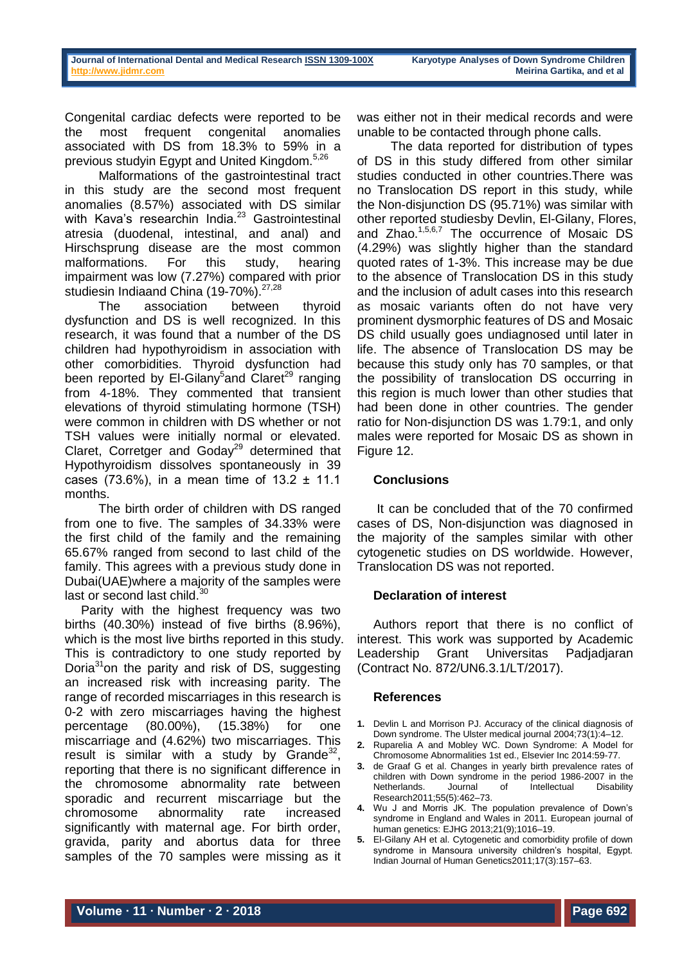Congenital cardiac defects were reported to be the most frequent congenital anomalies associated with DS from 18.3% to 59% in a previous studyin Egypt and United Kingdom.5,26

 Malformations of the gastrointestinal tract in this study are the second most frequent anomalies (8.57%) associated with DS similar with Kava's researchin India.<sup>23</sup> Gastrointestinal atresia (duodenal, intestinal, and anal) and Hirschsprung disease are the most common malformations. For this study, hearing impairment was low (7.27%) compared with prior studiesin Indiaand China (19-70%).<sup>27,28</sup>

 The association between thyroid dysfunction and DS is well recognized. In this research, it was found that a number of the DS children had hypothyroidism in association with other comorbidities. Thyroid dysfunction had been reported by El-Gilany<sup>5</sup>and Claret<sup>29</sup> ranging from 4-18%. They commented that transient elevations of thyroid stimulating hormone (TSH) were common in children with DS whether or not TSH values were initially normal or elevated. Claret, Corretger and  $Goday<sup>29</sup>$  determined that Hypothyroidism dissolves spontaneously in 39 cases (73.6%), in a mean time of  $13.2 \pm 11.1$ months.

 The birth order of children with DS ranged from one to five. The samples of 34.33% were the first child of the family and the remaining 65.67% ranged from second to last child of the family. This agrees with a previous study done in Dubai(UAE)where a majority of the samples were last or second last child.<sup>30</sup>

Parity with the highest frequency was two births (40.30%) instead of five births (8.96%), which is the most live births reported in this study. This is contradictory to one study reported by Doria $31$ on the parity and risk of DS, suggesting an increased risk with increasing parity. The range of recorded miscarriages in this research is 0-2 with zero miscarriages having the highest percentage (80.00%), (15.38%) for one miscarriage and (4.62%) two miscarriages. This result is similar with a study by  $G$ rande<sup>32</sup>, reporting that there is no significant difference in the chromosome abnormality rate between sporadic and recurrent miscarriage but the chromosome abnormality rate increased significantly with maternal age. For birth order, gravida, parity and abortus data for three samples of the 70 samples were missing as it

was either not in their medical records and were unable to be contacted through phone calls.

 The data reported for distribution of types of DS in this study differed from other similar studies conducted in other countries.There was no Translocation DS report in this study, while the Non-disjunction DS (95.71%) was similar with other reported studiesby Devlin, El-Gilany, Flores, and Zhao.<sup>1,5,6,7</sup> The occurrence of Mosaic DS (4.29%) was slightly higher than the standard quoted rates of 1-3%. This increase may be due to the absence of Translocation DS in this study and the inclusion of adult cases into this research as mosaic variants often do not have very prominent dysmorphic features of DS and Mosaic DS child usually goes undiagnosed until later in life. The absence of Translocation DS may be because this study only has 70 samples, or that the possibility of translocation DS occurring in this region is much lower than other studies that had been done in other countries. The gender ratio for Non-disjunction DS was 1.79:1, and only males were reported for Mosaic DS as shown in Figure 12.

### **Conclusions**

It can be concluded that of the 70 confirmed cases of DS, Non-disjunction was diagnosed in the majority of the samples similar with other cytogenetic studies on DS worldwide. However, Translocation DS was not reported.

### **Declaration of interest**

Authors report that there is no conflict of interest. This work was supported by Academic Leadership Grant Universitas Padjadjaran (Contract No. 872/UN6.3.1/LT/2017).

### **References**

- **1.** Devlin L and Morrison PJ. Accuracy of the clinical diagnosis of Down syndrome. The Ulster medical journal 2004;73(1):4–12.
- **2.** Ruparelia A and Mobley WC. Down Syndrome: A Model for Chromosome Abnormalities 1st ed., Elsevier Inc 2014:59-77.
- **3.** de Graaf G et al. Changes in yearly birth prevalence rates of children with Down syndrome in the period 1986-2007 in the Netherlands. Journal of Intellectual Disability Research2011;55(5):462–73.
- **4.** Wu J and Morris JK. The population prevalence of Down's syndrome in England and Wales in 2011. European journal of human genetics: EJHG 2013;21(9);1016–19.
- **5.** El-Gilany AH et al. Cytogenetic and comorbidity profile of down syndrome in Mansoura university children's hospital, Egypt. Indian Journal of Human Genetics2011;17(3):157–63.